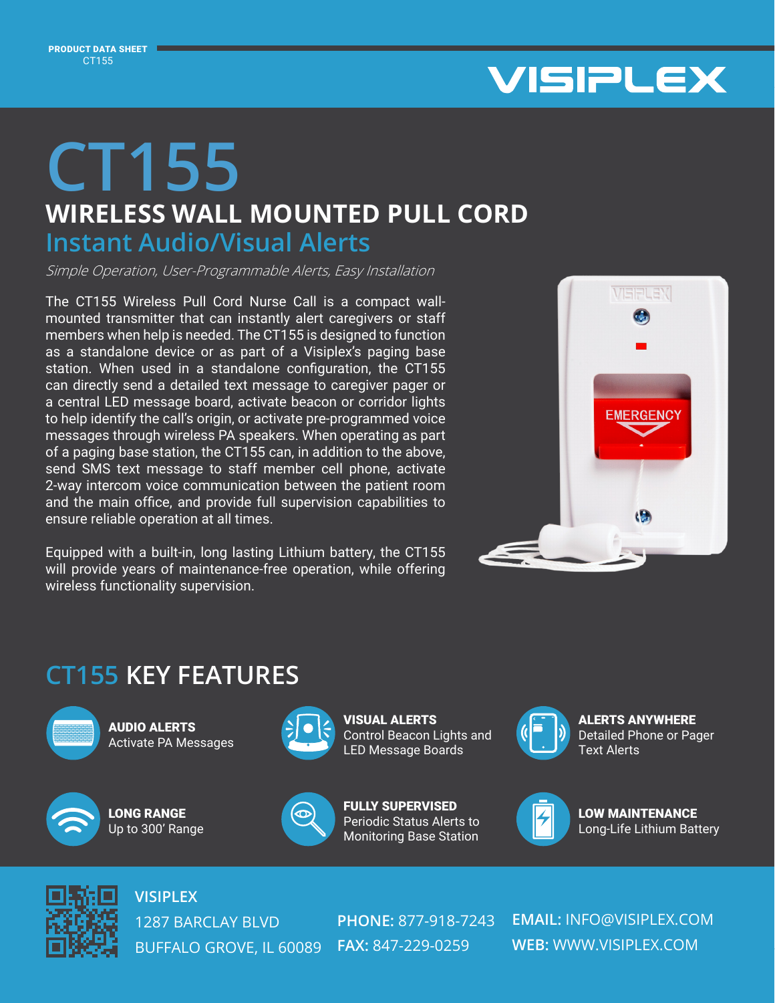

# **CT155**

## **WIRELESS WALL MOUNTED PULL CORD**

#### **Instant Audio/Visual Alerts**

Simple Operation, User-Programmable Alerts, Easy Installation

The CT155 Wireless Pull Cord Nurse Call is a compact wallmounted transmitter that can instantly alert caregivers or staff members when help is needed. The CT155 is designed to function as a standalone device or as part of a Visiplex's paging base station. When used in a standalone configuration, the CT155 can directly send a detailed text message to caregiver pager or a central LED message board, activate beacon or corridor lights to help identify the call's origin, or activate pre-programmed voice messages through wireless PA speakers. When operating as part of a paging base station, the CT155 can, in addition to the above, send SMS text message to staff member cell phone, activate 2-way intercom voice communication between the patient room and the main office, and provide full supervision capabilities to ensure reliable operation at all times.

Equipped with a built-in, long lasting Lithium battery, the CT155 will provide years of maintenance-free operation, while offering wireless functionality supervision.



### **CT155 KEY FEATURES**



AUDIO ALERTS Activate PA Messages



LONG RANGE Up to 300' Range



VISUAL ALERTS Control Beacon Lights and LED Message Boards



FULLY SUPERVISED Periodic Status Alerts to Monitoring Base Station



ALERTS ANYWHERE Detailed Phone or Pager Text Alerts



LOW MAINTENANCE Long-Life Lithium Battery



**VISIPLEX** 1287 BARCLAY BLVD BUFFALO GROVE, IL 60089 **FAX:** 847-229-0259

**PHONE:** 877-918-7243

**EMAIL:** INFO@VISIPLEX.COM **WEB:** WWW.VISIPLEX.COM